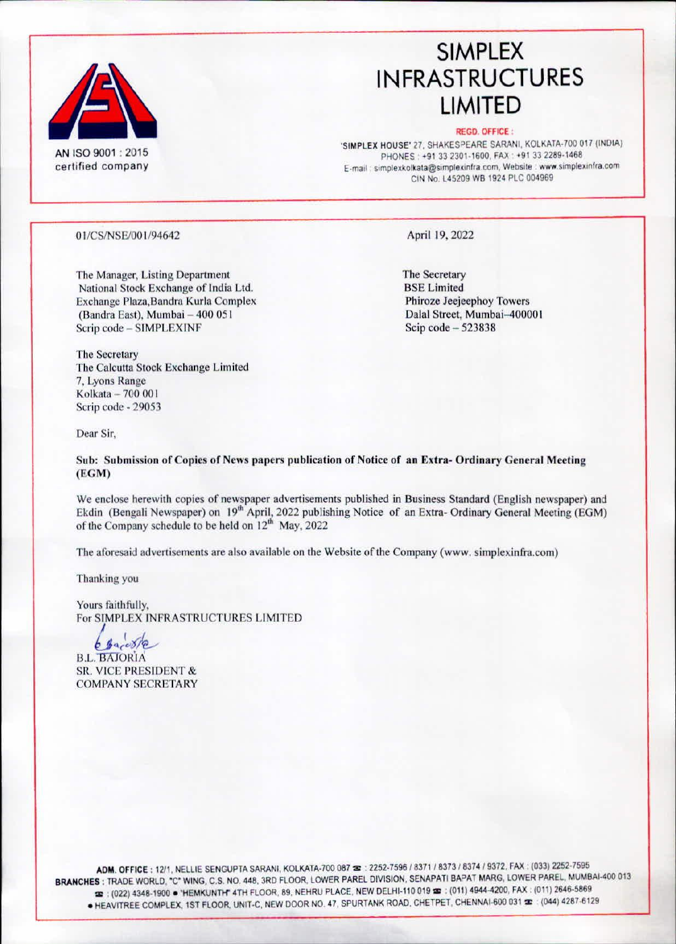

## **SIMPLEX INFRASTRUCTURES LIMITED**

#### **REGD. OFFICE:**

'SIMPLEX HOUSE' 27, SHAKESPEARE SARANI, KOLKATA-700 017 (INDIA) PHONES: +91 33 2301-1600, FAX: +91 33 2289-1468 E-mail : simplexkolkata@simplexinfra.com, Website : www.simplexinfra.com CIN No. L45209 WB 1924 PLC 004969

### 01/CS/NSE/001/94642

The Manager, Listing Department National Stock Exchange of India Ltd. Exchange Plaza, Bandra Kurla Complex (Bandra East), Mumbai - 400 051 Scrip code - SIMPLEXINF

April 19, 2022

The Secretary **BSE Limited** Phiroze Jeejeephoy Towers Dalal Street, Mumbai-400001 Scip code  $-523838$ 

The Secretary The Calcutta Stock Exchange Limited 7, Lyons Range Kolkata - 700 001 Scrip code - 29053

Dear Sir,

Sub: Submission of Copies of News papers publication of Notice of an Extra-Ordinary General Meeting  $(EGM)$ 

We enclose herewith copies of newspaper advertisements published in Business Standard (English newspaper) and Ekdin (Bengali Newspaper) on 19<sup>th</sup> April, 2022 publishing Notice of an Extra-Ordinary General Meeting (EGM) of the Company schedule to be held on 12<sup>th</sup> May, 2022

The aforesaid advertisements are also available on the Website of the Company (www. simplexinfra.com)

Thanking you

Yours faithfully, For SIMPLEX INFRASTRUCTURES LIMITED

 $699008/2$ 

**B.L. BAJORIA SR. VICE PRESIDENT & COMPANY SECRETARY** 

ADM. OFFICE: 12/1, NELLIE SENGUPTA SARANI, KOLKATA-700 087 =: 2252-7596 / 8371 / 8373 / 8374 / 9372, FAX: (033) 2252-7595 BRANCHES : TRADE WORLD, "C" WING, C.S. NO. 448, 3RD FLOOR, LOWER PAREL DIVISION, SENAPATI BAPAT MARG, LOWER PAREL, MUMBAI-400 013 22 : (022) 4348-1900 · 'HEMKUNTH' 4TH FLOOR, 89, NEHRU PLACE, NEW DELHI-110 019 32 : (011) 4944-4200, FAX : (011) 2646-5869 ● HEAVITREE COMPLEX, 1ST FLOOR, UNIT-C, NEW DOOR NO. 47, SPURTANK ROAD, CHETPET, CHENNAI-600 031 = (044) 4287-6129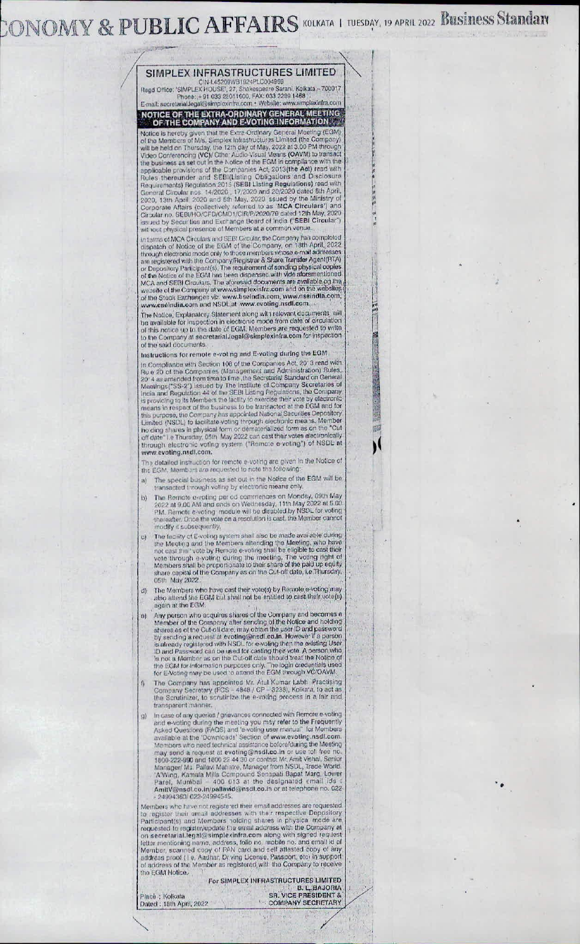# CONOMY & PUBLIC AFFAIRS KOLKATA | TUESDAY, 19 APRIL 2022 BUSINESS Standary



STRIP LEA TIVE CREASE SERVER SERVER SERVER SERVER SERVER SERVER SERVER SERVER SERVER SERVER SERVER SERVER SERVER SERVER SERVER SERVER SERVER SERVER SERVER SERVER SERVER SERVER SERVER SERVER SERVER SERVER SERVER SERVER SERV

## NOTICE OF THE EXTRA-ORDINARY GENERAL MEETING.<br>OF THE COMPANY AND E-VOTING INFORMATION.

Matrice is hereby given that the Extra Ordinary General Meeting (EGM)<br>of the Members of M/s, Simplex Intrastructuras Limited (the Company)<br>will be held on Thursday, the 12th day of May, 2022 at 3.00 PM through<br>Video Confer

wir iout physical presence of Members at a common venue.<br>
In terms of MCA Circulars and SEB: Gricular, the Company has completed<br>
clippatic of Notice of the EGM of the Company, on 18th April, 2022<br>
diposite through electro

The Notice, Explanatory Statement along with relevant documents will<br>the Notice, Explanatory Statement along with relevant documents will<br>the available for inspection in electronic mode from date of circulation<br>of this not of the said documents.

國

瞬

Instructions for remote e-voting and E-voting during the EGM Instructions for remote e-voting and E-voting during the EGM<br>In Compliance with Section 106 of the Companies Act, 20-3 read with<br>Ru e-20 of the Companies (Management and Administration) Rules.<br>20-4 as amended from time to www.evoting.nsdl.com.

The detailed instruction for remote e-voting are given in the Notice of<br>the EGM, Members are requested to note the following:

- The special business as set out in the Notice of the EGM will be  $a)$ transacted through voting by electronic means only
- The Remote e-voting per od commences on Monday, 09th May<br>2022 at 9.00 AM and ends on Wednesday, 11th May 2022 at 5.00<br>PM. Remote e-voting module will be distabled by NSDL for voting<br>thereafter. Once the vote on a resolutio b)
- modify it subsequently,<br>The facility of E-voting system shall also be made available during<br>the Meeting and the Members attending the Meeting, who have<br>not cast their vote by Remote e-voting shall be eligible to east thei c)
- The Members who have cast their vote(s) by Bernote e-voting may also attend the EGM but shall not be entitled to cast their vote(s) again at the EGM. d)
- Any person who acquires shares of the Company and becomes a<br>Any person who acquires shares of the Company and becomes a<br>Member of the Company after sending of the Notice and noising<br>by sending a request at evoting@nastl.co  $\omega$
- The Company has appointed Mr. Atul Kumar Labh Practising<br>Company Secretary (FCS 4848 / CP 3238), Kolkara, to act as<br>the Scrutinizer, to scrutinize the e-voting process in a fair and  $\theta$ transparent manner
- transparent manner.<br>
In case of any queries / grievances connected with Remote e-voling<br>
and e-voting during the meeting you may refer to the Frequently<br>
Asked Questions (FAQS) and 'e-voting user manual" for Members<br>
avail  $q$ Parel, Mumbal – 400 013 af the designated Email (ds.)<br>AmitV@nsdl.co.in/pallavid@nsdl.co.in or at telephone no. 022<br>- 24994360/022-24994545.

Members who have not registered their email addresses are requested<br>to register their armail addresses with their respective Depository<br>Participant(s) and Members holding shares in physical mode are<br>requested to register/u on secretaring name, address, follo no mobile no. and email id of<br>lettar mentioning name, address, follo no mobile no. and email id of<br>Member, scanned copy of PAN card and self attested copy of any<br>address proof (1e, Aadha the EGM Notice.

For SIMPLEX INFRASTRUCTURES LIMITED B. L. BAJORIA **COMPANY SECRETARY** 

Place : Kolkata Dated : 18th April, 2022